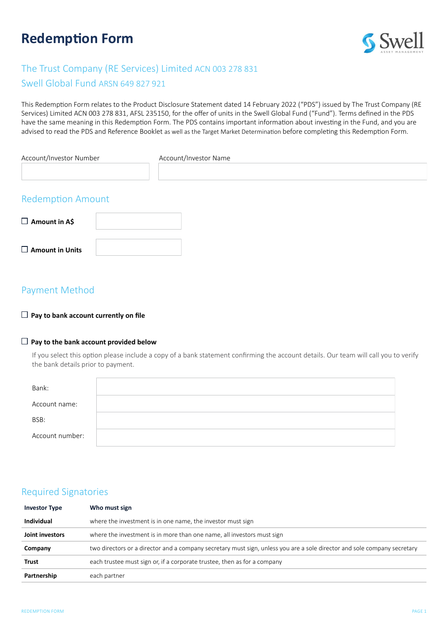# **Redemption Form**



# The Trust Company (RE Services) Limited ACN 003 278 831

### Swell Global Fund ARSN 649 827 921

This Redemption Form relates to the Product Disclosure Statement dated 14 February 2022 ("PDS") issued by The Trust Company (RE Services) Limited ACN 003 278 831, AFSL 235150, for the offer of units in the Swell Global Fund ("Fund"). Terms defined in the PDS have the same meaning in this Redemption Form. The PDS contains important information about investing in the Fund, and you are advised to read the PDS and Reference Booklet as well as the Target Market Determination before completing this Redemption Form.

| Account/Investor Number  | Account/Investor Name |  |
|--------------------------|-----------------------|--|
| <b>Redemption Amount</b> |                       |  |
| $\Box$ Amount in A\$     |                       |  |
| $\Box$ Amount in Units   |                       |  |

# Payment Method

#### **Pay to bank account currently on file**

#### **Pay to the bank account provided below**

If you select this option please include a copy of a bank statement confirming the account details. Our team will call you to verify the bank details prior to payment.

| Bank:           |  |
|-----------------|--|
| Account name:   |  |
| BSB:            |  |
| Account number: |  |

## Required Signatories

| <b>Investor Type</b> | Who must sign                                                                                                            |
|----------------------|--------------------------------------------------------------------------------------------------------------------------|
| Individual           | where the investment is in one name, the investor must sign                                                              |
| Joint investors      | where the investment is in more than one name, all investors must sign                                                   |
| Company              | two directors or a director and a company secretary must sign, unless you are a sole director and sole company secretary |
| Trust                | each trustee must sign or, if a corporate trustee, then as for a company                                                 |
| Partnership          | each partner                                                                                                             |